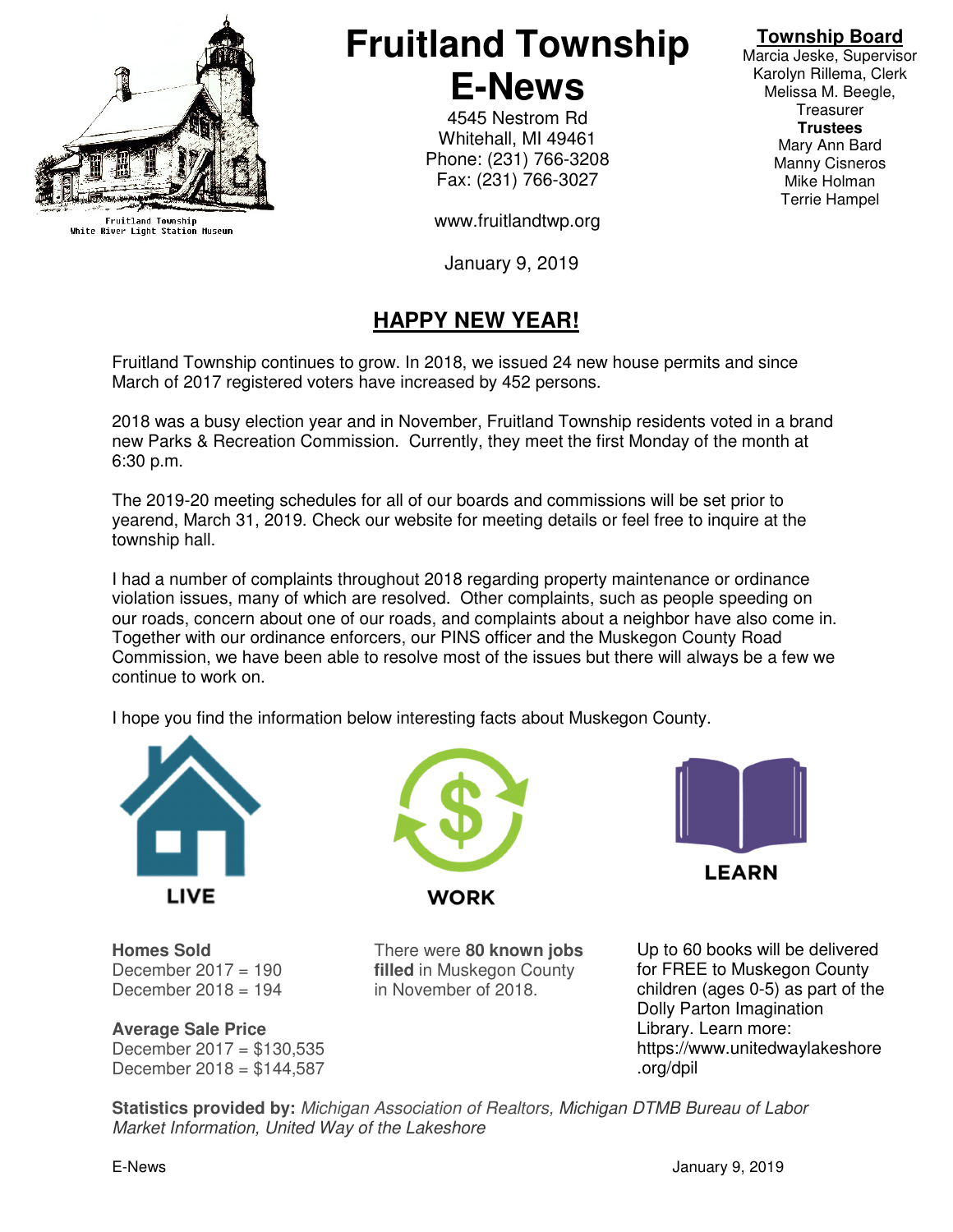

Fruitland Township<br>White River Light Station Museum

# **Fruitland Township E-News**

4545 Nestrom Rd Whitehall, MI 49461 Phone: (231) 766-3208 Fax: (231) 766-3027

www.fruitlandtwp.org

January 9, 2019

## **HAPPY NEW YEAR!**

Fruitland Township continues to grow. In 2018, we issued 24 new house permits and since March of 2017 registered voters have increased by 452 persons.

2018 was a busy election year and in November, Fruitland Township residents voted in a brand new Parks & Recreation Commission. Currently, they meet the first Monday of the month at 6:30 p.m.

The 2019-20 meeting schedules for all of our boards and commissions will be set prior to yearend, March 31, 2019. Check our website for meeting details or feel free to inquire at the township hall.

I had a number of complaints throughout 2018 regarding property maintenance or ordinance violation issues, many of which are resolved. Other complaints, such as people speeding on our roads, concern about one of our roads, and complaints about a neighbor have also come in. Together with our ordinance enforcers, our PINS officer and the Muskegon County Road Commission, we have been able to resolve most of the issues but there will always be a few we continue to work on.

I hope you find the information below interesting facts about Muskegon County.







**Homes Sold** There were **80 known jobs**  December  $2018 = 194$  in November of 2018.

December 2017 = 190 **filled** in Muskegon County

**Average Sale Price** December  $2017 = $130,535$ December 2018 = \$144,587

Up to 60 books will be delivered for FREE to Muskegon County children (ages 0-5) as part of the Dolly Parton Imagination Library. Learn more: https://www.unitedwaylakeshore .org/dpil

**Statistics provided by:** Michigan Association of Realtors, Michigan DTMB Bureau of Labor Market Information, United Way of the Lakeshore

## **Township Board**

Marcia Jeske, Supervisor Karolyn Rillema, Clerk Melissa M. Beegle, **Treasurer Trustees**  Mary Ann Bard Manny Cisneros Mike Holman Terrie Hampel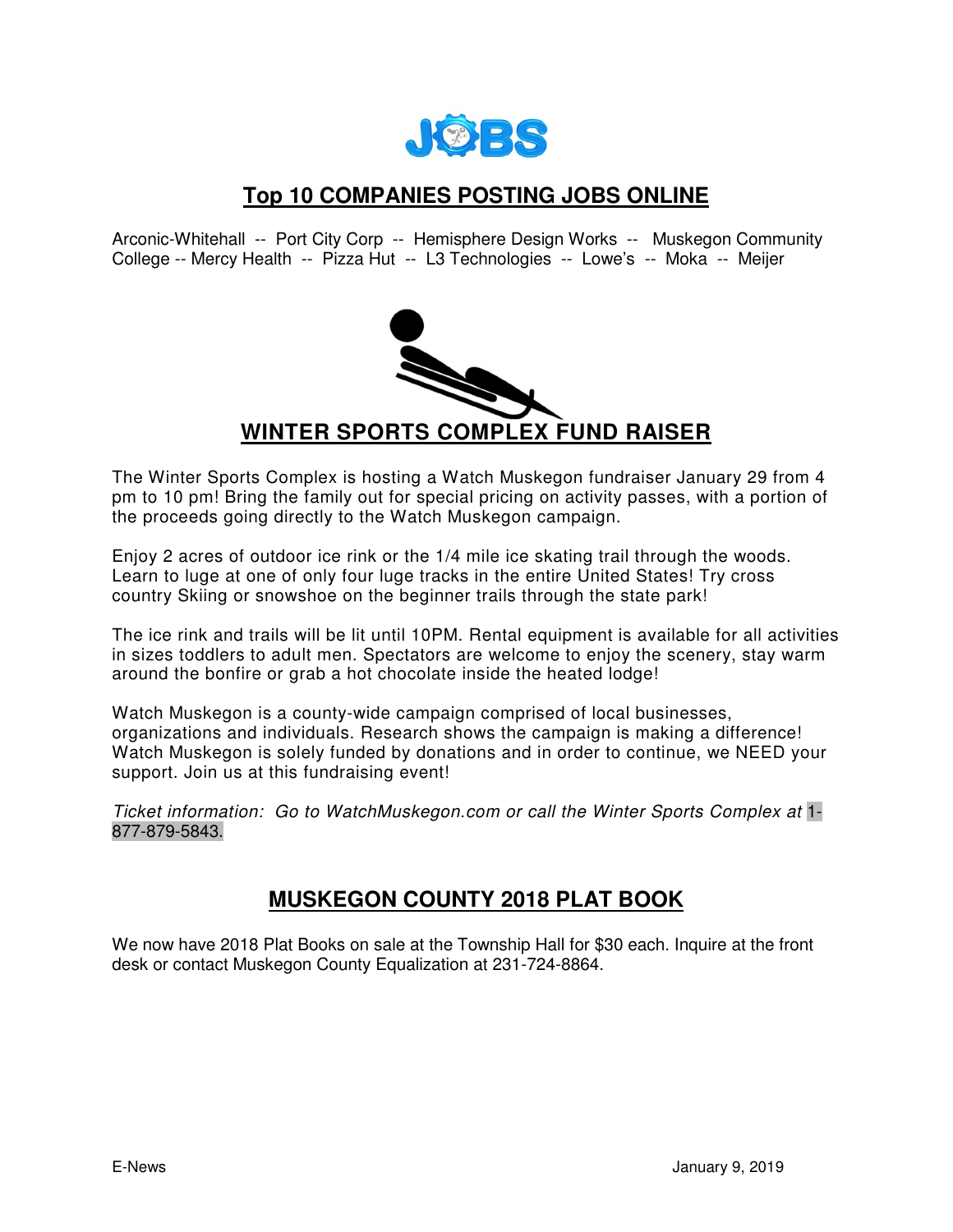

#### **Top 10 COMPANIES POSTING JOBS ONLINE**

Arconic-Whitehall -- Port City Corp -- Hemisphere Design Works -- Muskegon Community College -- Mercy Health -- Pizza Hut -- L3 Technologies -- Lowe's -- Moka -- Meijer



The Winter Sports Complex is hosting a Watch Muskegon fundraiser January 29 from 4 pm to 10 pm! Bring the family out for special pricing on activity passes, with a portion of the proceeds going directly to the Watch Muskegon campaign.

Enjoy 2 acres of outdoor ice rink or the 1/4 mile ice skating trail through the woods. Learn to luge at one of only four luge tracks in the entire United States! Try cross country Skiing or snowshoe on the beginner trails through the state park!

The ice rink and trails will be lit until 10PM. Rental equipment is available for all activities in sizes toddlers to adult men. Spectators are welcome to enjoy the scenery, stay warm around the bonfire or grab a hot chocolate inside the heated lodge!

Watch Muskegon is a county-wide campaign comprised of local businesses, organizations and individuals. Research shows the campaign is making a difference! Watch Muskegon is solely funded by donations and in order to continue, we NEED your support. Join us at this fundraising event!

Ticket information: Go to WatchMuskegon.com or call the Winter Sports Complex at 1- 877-879-5843.

#### **MUSKEGON COUNTY 2018 PLAT BOOK**

We now have 2018 Plat Books on sale at the Township Hall for \$30 each. Inquire at the front desk or contact Muskegon County Equalization at 231-724-8864.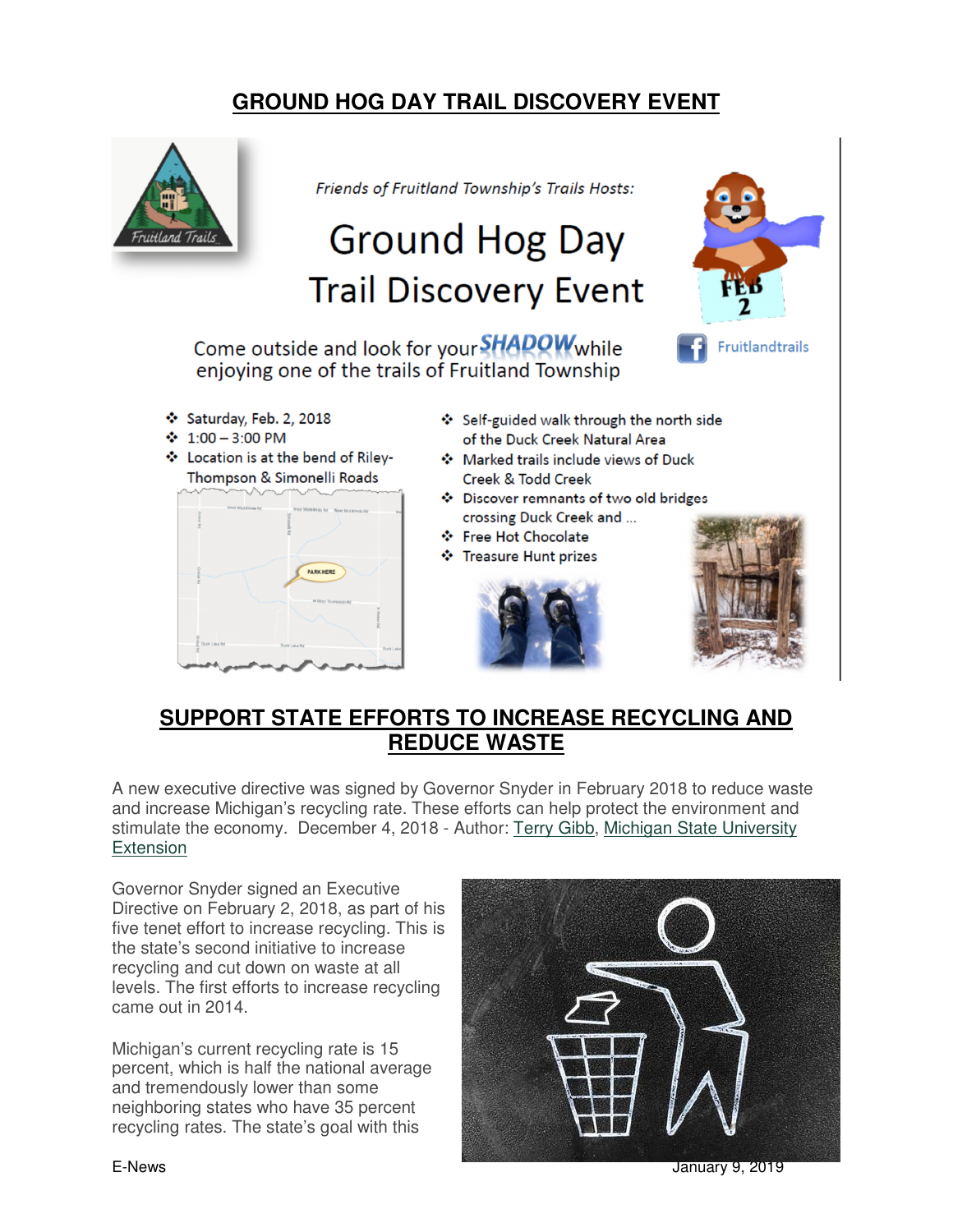### **GROUND HOG DAY TRAIL DISCOVERY EVENT**



#### **SUPPORT STATE EFFORTS TO INCREASE RECYCLING AND REDUCE WASTE**

A new executive directive was signed by Governor Snyder in February 2018 to reduce waste and increase Michigan's recycling rate. These efforts can help protect the environment and stimulate the economy. December 4, 2018 - Author: Terry Gibb, Michigan State University Extension

Governor Snyder signed an Executive Directive on February 2, 2018, as part of his five tenet effort to increase recycling. This is the state's second initiative to increase recycling and cut down on waste at all levels. The first efforts to increase recycling came out in 2014.

Michigan's current recycling rate is 15 percent, which is half the national average and tremendously lower than some neighboring states who have 35 percent recycling rates. The state's goal with this



E-News January 9, 2019